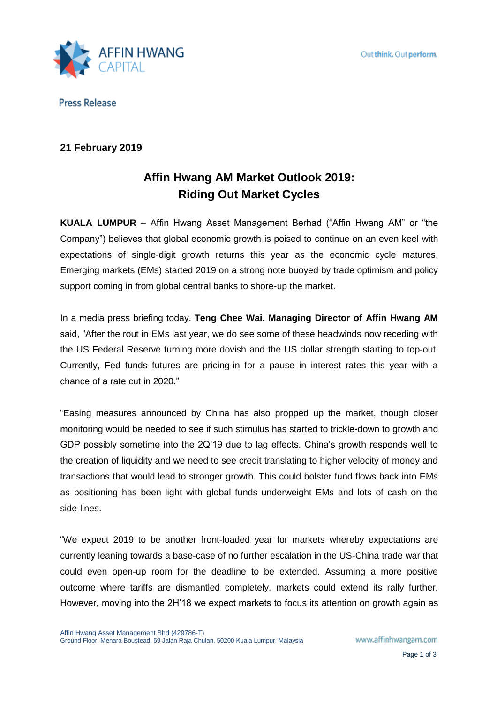

**Press Release** 

## **21 February 2019**

# **Affin Hwang AM Market Outlook 2019: Riding Out Market Cycles**

**KUALA LUMPUR** – Affin Hwang Asset Management Berhad ("Affin Hwang AM" or "the Company") believes that global economic growth is poised to continue on an even keel with expectations of single-digit growth returns this year as the economic cycle matures. Emerging markets (EMs) started 2019 on a strong note buoyed by trade optimism and policy support coming in from global central banks to shore-up the market.

In a media press briefing today, **Teng Chee Wai, Managing Director of Affin Hwang AM** said, "After the rout in EMs last year, we do see some of these headwinds now receding with the US Federal Reserve turning more dovish and the US dollar strength starting to top-out. Currently, Fed funds futures are pricing-in for a pause in interest rates this year with a chance of a rate cut in 2020."

"Easing measures announced by China has also propped up the market, though closer monitoring would be needed to see if such stimulus has started to trickle-down to growth and GDP possibly sometime into the 2Q'19 due to lag effects. China's growth responds well to the creation of liquidity and we need to see credit translating to higher velocity of money and transactions that would lead to stronger growth. This could bolster fund flows back into EMs as positioning has been light with global funds underweight EMs and lots of cash on the side-lines.

"We expect 2019 to be another front-loaded year for markets whereby expectations are currently leaning towards a base-case of no further escalation in the US-China trade war that could even open-up room for the deadline to be extended. Assuming a more positive outcome where tariffs are dismantled completely, markets could extend its rally further. However, moving into the 2H'18 we expect markets to focus its attention on growth again as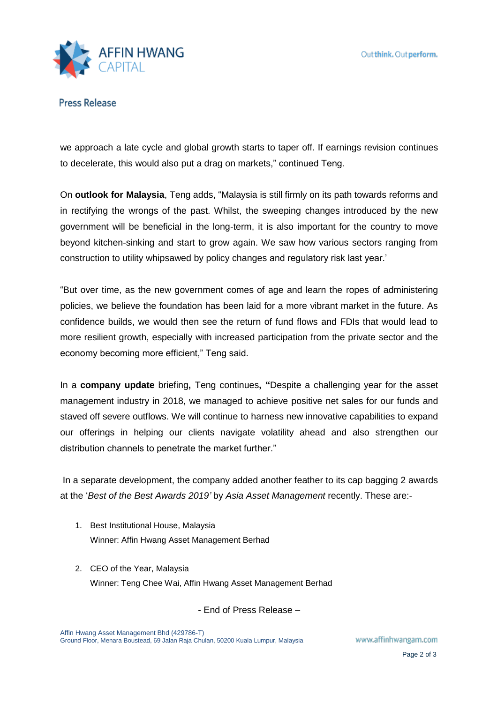

**Press Release** 

we approach a late cycle and global growth starts to taper off. If earnings revision continues to decelerate, this would also put a drag on markets," continued Teng.

On **outlook for Malaysia**, Teng adds, "Malaysia is still firmly on its path towards reforms and in rectifying the wrongs of the past. Whilst, the sweeping changes introduced by the new government will be beneficial in the long-term, it is also important for the country to move beyond kitchen-sinking and start to grow again. We saw how various sectors ranging from construction to utility whipsawed by policy changes and regulatory risk last year.'

"But over time, as the new government comes of age and learn the ropes of administering policies, we believe the foundation has been laid for a more vibrant market in the future. As confidence builds, we would then see the return of fund flows and FDIs that would lead to more resilient growth, especially with increased participation from the private sector and the economy becoming more efficient," Teng said.

In a **company update** briefing**,** Teng continues**, "**Despite a challenging year for the asset management industry in 2018, we managed to achieve positive net sales for our funds and staved off severe outflows. We will continue to harness new innovative capabilities to expand our offerings in helping our clients navigate volatility ahead and also strengthen our distribution channels to penetrate the market further."

In a separate development, the company added another feather to its cap bagging 2 awards at the '*Best of the Best Awards 2019'* by *Asia Asset Management* recently. These are:-

- 1. Best Institutional House, Malaysia Winner: Affin Hwang Asset Management Berhad
- 2. CEO of the Year, Malaysia Winner: Teng Chee Wai, Affin Hwang Asset Management Berhad

- End of Press Release –